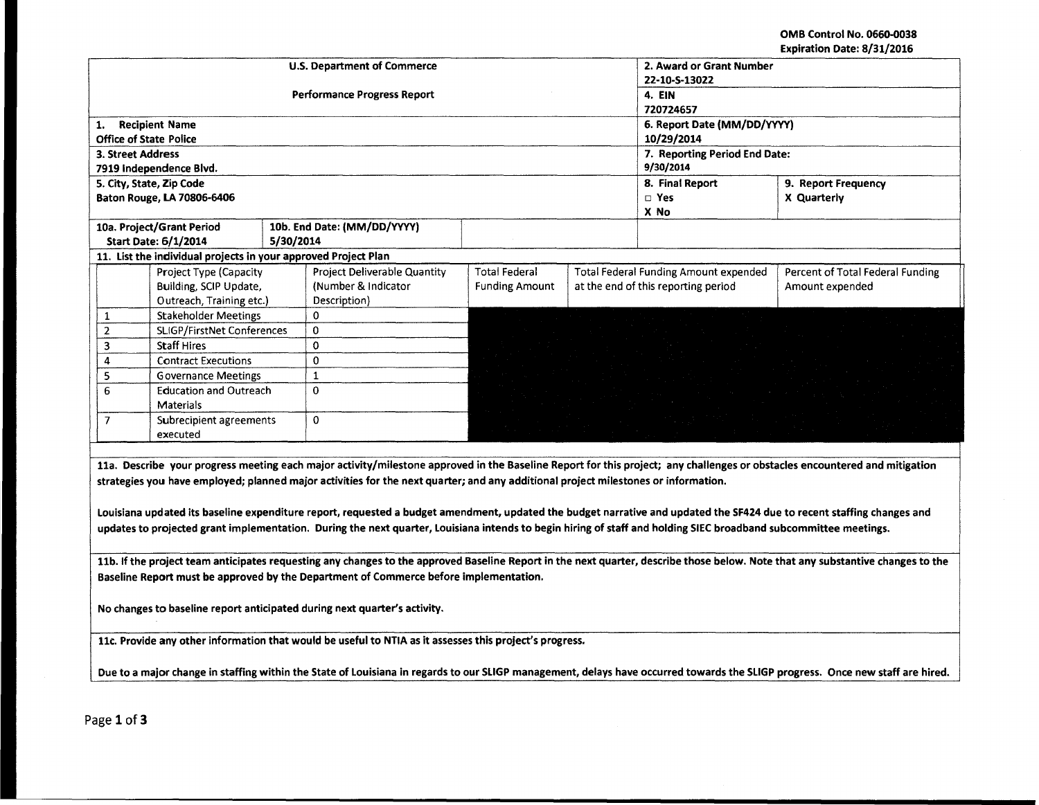OMB Control No. 0660-0038 Expiration Date: 8/31/2016

| <b>U.S. Department of Commerce</b><br>2. Award or Grant Number                                                                                                         |                                                                                                                                                                                 |           |                                    |                       |  |                                              |                                                                                                                                                                            |  |  |
|------------------------------------------------------------------------------------------------------------------------------------------------------------------------|---------------------------------------------------------------------------------------------------------------------------------------------------------------------------------|-----------|------------------------------------|-----------------------|--|----------------------------------------------|----------------------------------------------------------------------------------------------------------------------------------------------------------------------------|--|--|
|                                                                                                                                                                        |                                                                                                                                                                                 |           |                                    | 22-10-S-13022         |  |                                              |                                                                                                                                                                            |  |  |
|                                                                                                                                                                        |                                                                                                                                                                                 |           | <b>Performance Progress Report</b> | 4. EIN                |  |                                              |                                                                                                                                                                            |  |  |
|                                                                                                                                                                        |                                                                                                                                                                                 |           |                                    | 720724657             |  |                                              |                                                                                                                                                                            |  |  |
| 1.                                                                                                                                                                     | <b>Recipient Name</b>                                                                                                                                                           |           |                                    |                       |  | 6. Report Date (MM/DD/YYYY)                  |                                                                                                                                                                            |  |  |
|                                                                                                                                                                        | <b>Office of State Police</b>                                                                                                                                                   |           |                                    | 10/29/2014            |  |                                              |                                                                                                                                                                            |  |  |
| 3. Street Address                                                                                                                                                      |                                                                                                                                                                                 |           |                                    |                       |  | 7. Reporting Period End Date:                |                                                                                                                                                                            |  |  |
|                                                                                                                                                                        | 7919 Independence Blvd.                                                                                                                                                         |           |                                    |                       |  | 9/30/2014                                    |                                                                                                                                                                            |  |  |
|                                                                                                                                                                        | 5. City, State, Zip Code                                                                                                                                                        |           |                                    |                       |  | 8. Final Report<br>9. Report Frequency       |                                                                                                                                                                            |  |  |
|                                                                                                                                                                        | Baton Rouge, LA 70806-6406                                                                                                                                                      |           |                                    |                       |  | $\square$ Yes                                | X Quarterly                                                                                                                                                                |  |  |
|                                                                                                                                                                        |                                                                                                                                                                                 |           |                                    |                       |  | X No                                         |                                                                                                                                                                            |  |  |
|                                                                                                                                                                        | 10a. Project/Grant Period                                                                                                                                                       |           | 10b. End Date: (MM/DD/YYYY)        |                       |  |                                              |                                                                                                                                                                            |  |  |
|                                                                                                                                                                        | <b>Start Date: 6/1/2014</b>                                                                                                                                                     | 5/30/2014 |                                    |                       |  |                                              |                                                                                                                                                                            |  |  |
|                                                                                                                                                                        | 11. List the individual projects in your approved Project Plan                                                                                                                  |           |                                    |                       |  |                                              |                                                                                                                                                                            |  |  |
|                                                                                                                                                                        | Project Type (Capacity                                                                                                                                                          |           | Project Deliverable Quantity       | <b>Total Federal</b>  |  | <b>Total Federal Funding Amount expended</b> | Percent of Total Federal Funding                                                                                                                                           |  |  |
|                                                                                                                                                                        | Building, SCIP Update,                                                                                                                                                          |           | (Number & Indicator                | <b>Funding Amount</b> |  | at the end of this reporting period          | Amount expended                                                                                                                                                            |  |  |
|                                                                                                                                                                        | Outreach, Training etc.)                                                                                                                                                        |           | Description)                       |                       |  |                                              |                                                                                                                                                                            |  |  |
| -1                                                                                                                                                                     | <b>Stakeholder Meetings</b>                                                                                                                                                     |           | 0                                  |                       |  |                                              |                                                                                                                                                                            |  |  |
| $\overline{2}$                                                                                                                                                         | <b>SLIGP/FirstNet Conferences</b>                                                                                                                                               |           | $\mathbf 0$                        |                       |  |                                              |                                                                                                                                                                            |  |  |
| 3                                                                                                                                                                      | <b>Staff Hires</b>                                                                                                                                                              |           | 0                                  |                       |  |                                              |                                                                                                                                                                            |  |  |
| 4                                                                                                                                                                      | <b>Contract Executions</b>                                                                                                                                                      |           | $\mathbf 0$                        |                       |  |                                              |                                                                                                                                                                            |  |  |
| 5                                                                                                                                                                      | <b>Governance Meetings</b>                                                                                                                                                      |           | $\mathbf{1}$                       |                       |  |                                              |                                                                                                                                                                            |  |  |
| <b>Education and Outreach</b><br>6                                                                                                                                     |                                                                                                                                                                                 |           | $\Omega$                           |                       |  |                                              |                                                                                                                                                                            |  |  |
|                                                                                                                                                                        | <b>Materials</b>                                                                                                                                                                |           |                                    |                       |  |                                              |                                                                                                                                                                            |  |  |
| $\overline{7}$                                                                                                                                                         | Subrecipient agreements                                                                                                                                                         |           | 0                                  |                       |  |                                              |                                                                                                                                                                            |  |  |
| executed                                                                                                                                                               |                                                                                                                                                                                 |           |                                    |                       |  |                                              |                                                                                                                                                                            |  |  |
|                                                                                                                                                                        |                                                                                                                                                                                 |           |                                    |                       |  |                                              |                                                                                                                                                                            |  |  |
|                                                                                                                                                                        |                                                                                                                                                                                 |           |                                    |                       |  |                                              | 11a. Describe your progress meeting each major activity/milestone approved in the Baseline Report for this project; any challenges or obstacles encountered and mitigation |  |  |
| strategies you have employed; planned major activities for the next quarter; and any additional project milestones or information.                                     |                                                                                                                                                                                 |           |                                    |                       |  |                                              |                                                                                                                                                                            |  |  |
|                                                                                                                                                                        |                                                                                                                                                                                 |           |                                    |                       |  |                                              |                                                                                                                                                                            |  |  |
| Louisiana updated its baseline expenditure report, requested a budget amendment, updated the budget narrative and updated the SF424 due to recent staffing changes and |                                                                                                                                                                                 |           |                                    |                       |  |                                              |                                                                                                                                                                            |  |  |
| updates to projected grant implementation. During the next quarter, Louisiana intends to begin hiring of staff and holding SIEC broadband subcommittee meetings.       |                                                                                                                                                                                 |           |                                    |                       |  |                                              |                                                                                                                                                                            |  |  |
|                                                                                                                                                                        |                                                                                                                                                                                 |           |                                    |                       |  |                                              |                                                                                                                                                                            |  |  |
|                                                                                                                                                                        | 11b. If the project team anticipates requesting any changes to the approved Baseline Report in the next quarter, describe those below. Note that any substantive changes to the |           |                                    |                       |  |                                              |                                                                                                                                                                            |  |  |
|                                                                                                                                                                        | Baseline Report must be approved by the Department of Commerce before implementation.                                                                                           |           |                                    |                       |  |                                              |                                                                                                                                                                            |  |  |
|                                                                                                                                                                        |                                                                                                                                                                                 |           |                                    |                       |  |                                              |                                                                                                                                                                            |  |  |

No changes to baseline report anticipated during next quarter's activity.

llc. Provide any other information that would be useful to NTIA as it assesses this project's progress.

Due to a major change in staffing within the State of Louisiana in regards to our SLIGP management, delays have occurred towards the SLIGP progress. Once new staff are hired.

Page 1 of 3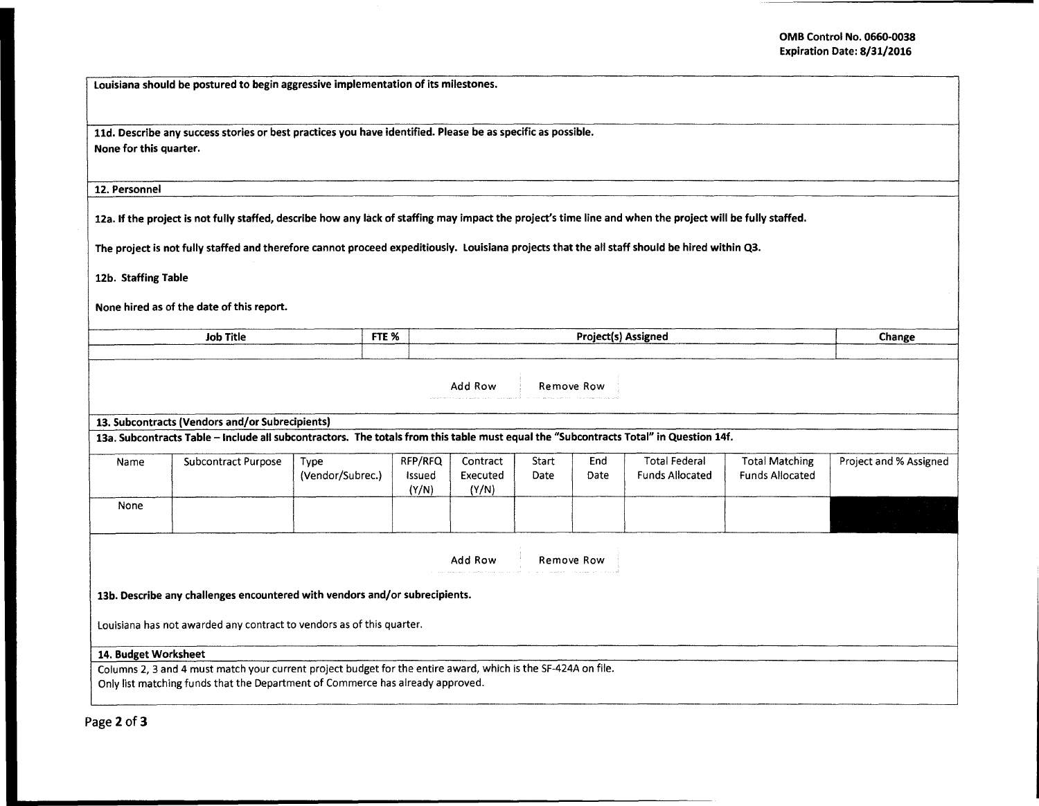|  | Louisiana should be postured to begin aggressive implementation of its milestones. |  |
|--|------------------------------------------------------------------------------------|--|

lld. Describe any success stories or best practices you have identified. Please be as specific as possible. None for this quarter.

12. Personnel

12a. If the project is not fully staffed, describe how any lack of staffing may impact the project's time line and when the project will be fully staffed.

The project is not fully staffed and therefore cannot proceed expeditiously. Louisiana projects that the all staff should be hired within Q3.

12b. Staffing Table

None hired as of the date of this report.

| <b>Job Title</b> | FTE %                                                                                                           | ----<br>ssigned                                                                                                                                                                                                                                                                                                                                                                                                                                                                                                                 | Change |
|------------------|-----------------------------------------------------------------------------------------------------------------|---------------------------------------------------------------------------------------------------------------------------------------------------------------------------------------------------------------------------------------------------------------------------------------------------------------------------------------------------------------------------------------------------------------------------------------------------------------------------------------------------------------------------------|--------|
|                  | the contract of the contract of the contract of the contract of the contract of the contract of the contract of | the contract of the contract of the contract of the contract of the contract of the contract of the contract of the contract of the contract of the contract of the contract of the contract of the contract of the contract o<br>the company's company's company's company's company's company's company's company's<br>the contract of the contract of the contract of the contract of the contract of the contract of the contract of<br>the contract of the contract of the contract of the contract of the contract of the |        |

| Add Row | Remove Row |  |
|---------|------------|--|
|---------|------------|--|

13. Subcontracts (Vendors and/or Subrecipients)

13a. Subcontracts Table -Include all subcontractors. The totals from this table must equal the "Subcontracts Total" in Question 14f.

| Name | <b>Subcontract Purpose</b> | Type<br>(Vendor/Subrec.) | RFP/RFQ<br>Issued<br>(Y/N) | Contract<br>Executed<br>(Y/N) | Start<br>Date | End<br>Date | <b>Total Federal</b><br>Funds Allocated | <b>Total Matching</b><br><b>Funds Allocated</b> | Project and % Assigned |
|------|----------------------------|--------------------------|----------------------------|-------------------------------|---------------|-------------|-----------------------------------------|-------------------------------------------------|------------------------|
| None |                            |                          |                            |                               |               |             |                                         |                                                 |                        |
|      |                            |                          |                            |                               |               |             |                                         |                                                 |                        |

Add Row Remove Row

13b. Describe any challenges encountered with vendors and/or subrecipients.

Louisiana has not awarded any contract to vendors as of this quarter.

## 14. Budget Worksheet

Columns 2, 3 and 4 must match your current project budget for the entire award, which is the SF-424A on file. Only list matching funds that the Department of Commerce has already approved.